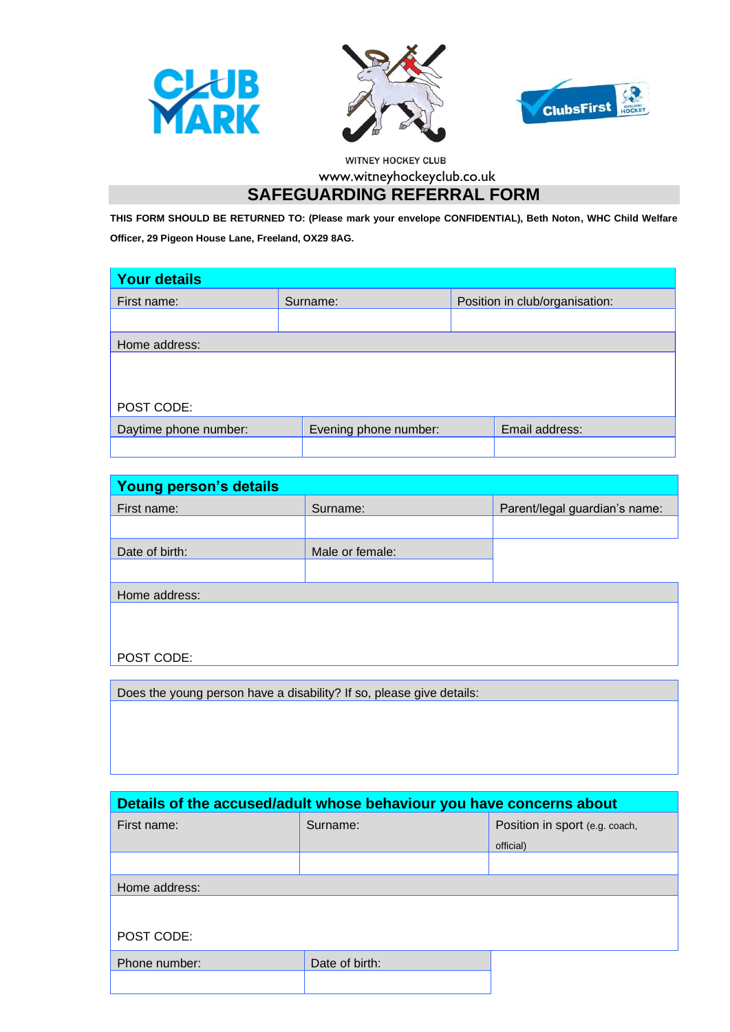





WITNEY HOCKEY CLUB

www.witneyhockeyclub.co.uk

## **SAFEGUARDING REFERRAL FORM**

**THIS FORM SHOULD BE RETURNED TO: (Please mark your envelope CONFIDENTIAL), Beth Noton, WHC Child Welfare Officer, 29 Pigeon House Lane, Freeland, OX29 8AG.** 

| <b>Your details</b>   |          |                       |  |                                |
|-----------------------|----------|-----------------------|--|--------------------------------|
| First name:           | Surname: |                       |  | Position in club/organisation: |
|                       |          |                       |  |                                |
| Home address:         |          |                       |  |                                |
|                       |          |                       |  |                                |
|                       |          |                       |  |                                |
| POST CODE:            |          |                       |  |                                |
| Daytime phone number: |          | Evening phone number: |  | Email address:                 |
|                       |          |                       |  |                                |

| Young person's details                                              |                 |                               |  |  |
|---------------------------------------------------------------------|-----------------|-------------------------------|--|--|
| First name:                                                         | Surname:        | Parent/legal guardian's name: |  |  |
|                                                                     |                 |                               |  |  |
| Date of birth:                                                      | Male or female: |                               |  |  |
|                                                                     |                 |                               |  |  |
| Home address:                                                       |                 |                               |  |  |
|                                                                     |                 |                               |  |  |
|                                                                     |                 |                               |  |  |
| POST CODE:                                                          |                 |                               |  |  |
|                                                                     |                 |                               |  |  |
| Dogs the veuge person have a disphility? If so please give detailer |                 |                               |  |  |

Does the young person have a disability? If so, please give details:

| Details of the accused/adult whose behaviour you have concerns about |                |                                |  |  |
|----------------------------------------------------------------------|----------------|--------------------------------|--|--|
| First name:                                                          | Surname:       | Position in sport (e.g. coach, |  |  |
|                                                                      |                | official)                      |  |  |
|                                                                      |                |                                |  |  |
| Home address:                                                        |                |                                |  |  |
|                                                                      |                |                                |  |  |
| POST CODE:                                                           |                |                                |  |  |
| Phone number:                                                        | Date of birth: |                                |  |  |
|                                                                      |                |                                |  |  |